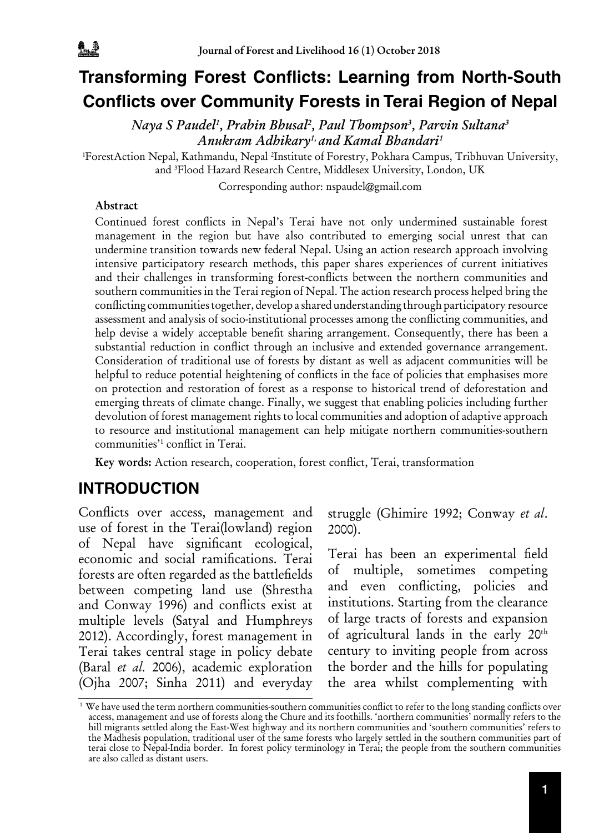# **Transforming Forest Conflicts: Learning from North-South Conflicts over Community Forests in Terai Region of Nepal**

*Naya S Paudel1 , Prabin Bhusal2 , Paul Thompson3 , Parvin Sultana3 Anukram Adhikary1, and Kamal Bhandari1*

1 ForestAction Nepal, Kathmandu, Nepal <sup>2</sup> Institute of Forestry, Pokhara Campus, Tribhuvan University, and 3 Flood Hazard Research Centre, Middlesex University, London, UK

Corresponding author: nspaudel@gmail.com

#### Abstract

Continued forest conflicts in Nepal's Terai have not only undermined sustainable forest management in the region but have also contributed to emerging social unrest that can undermine transition towards new federal Nepal. Using an action research approach involving intensive participatory research methods, this paper shares experiences of current initiatives and their challenges in transforming forest-conflicts between the northern communities and southern communities in the Terai region of Nepal. The action research process helped bring the conflicting communities together, develop a shared understanding through participatory resource assessment and analysis of socio-institutional processes among the conflicting communities, and help devise a widely acceptable benefit sharing arrangement. Consequently, there has been a substantial reduction in conflict through an inclusive and extended governance arrangement. Consideration of traditional use of forests by distant as well as adjacent communities will be helpful to reduce potential heightening of conflicts in the face of policies that emphasises more on protection and restoration of forest as a response to historical trend of deforestation and emerging threats of climate change. Finally, we suggest that enabling policies including further devolution of forest management rights to local communities and adoption of adaptive approach to resource and institutional management can help mitigate northern communities-southern communities'<sup>1</sup> conflict in Terai.

Key words: Action research, cooperation, forest conflict, Terai, transformation

# **INTRODUCTION**

Conflicts over access, management and use of forest in the Terai(lowland) region of Nepal have significant ecological, economic and social ramifications. Terai forests are often regarded as the battlefields between competing land use (Shrestha and Conway 1996) and conflicts exist at multiple levels (Satyal and Humphreys 2012). Accordingly, forest management in Terai takes central stage in policy debate (Baral *et al.* 2006), academic exploration (Ojha 2007; Sinha 2011) and everyday

struggle (Ghimire 1992; Conway *et al*. 2000).

Terai has been an experimental field of multiple, sometimes competing and even conflicting, policies and institutions. Starting from the clearance of large tracts of forests and expansion of agricultural lands in the early 20th century to inviting people from across the border and the hills for populating the area whilst complementing with

<sup>&</sup>lt;sup>1</sup> We have used the term northern communities-southern communities conflict to refer to the long standing conflicts over access, management and use of forests along the Chure and its foothills. 'northern communities' normally refers to the hill migrants settled along the East-West highway and its northern communities and 'southern communities' refers to the Madhesis population, traditional user of the same forests who largely settled in the southern communities part of terai close to Nepal-India border. In forest policy terminology in Terai; the people from the southern communities are also called as distant users.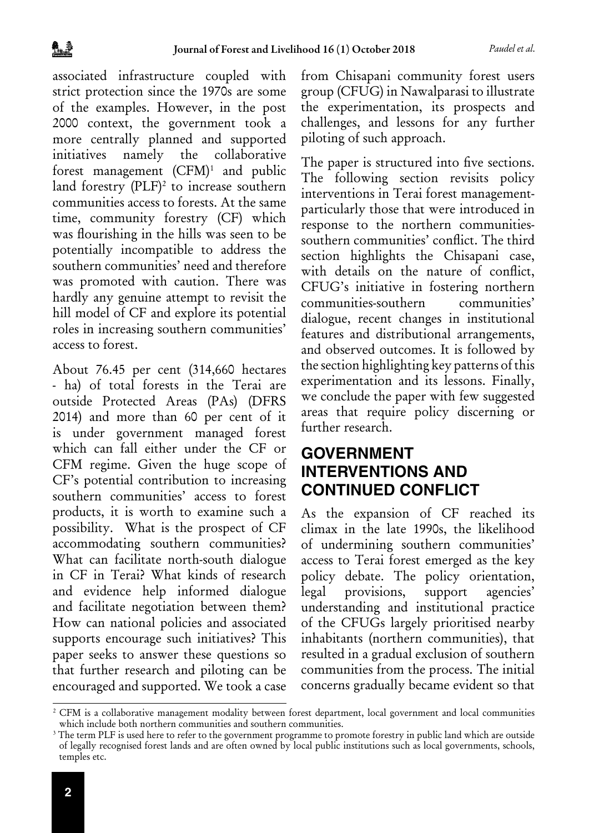associated infrastructure coupled with strict protection since the 1970s are some of the examples. However, in the post 2000 context, the government took a more centrally planned and supported initiatives namely the collaborative forest management (CFM)<sup>1</sup> and public land forestry (PLF)<sup>2</sup> to increase southern communities access to forests. At the same time, community forestry (CF) which was flourishing in the hills was seen to be potentially incompatible to address the southern communities' need and therefore was promoted with caution. There was hardly any genuine attempt to revisit the hill model of CF and explore its potential roles in increasing southern communities' access to forest.

About 76.45 per cent (314,660 hectares - ha) of total forests in the Terai are outside Protected Areas (PAs) (DFRS 2014) and more than 60 per cent of it is under government managed forest which can fall either under the CF or CFM regime. Given the huge scope of CF's potential contribution to increasing southern communities' access to forest products, it is worth to examine such a possibility. What is the prospect of CF accommodating southern communities? What can facilitate north-south dialogue in CF in Terai? What kinds of research and evidence help informed dialogue and facilitate negotiation between them? How can national policies and associated supports encourage such initiatives? This paper seeks to answer these questions so that further research and piloting can be encouraged and supported. We took a case

from Chisapani community forest users group (CFUG) in Nawalparasi to illustrate the experimentation, its prospects and challenges, and lessons for any further piloting of such approach.

The paper is structured into five sections. The following section revisits policy interventions in Terai forest managementparticularly those that were introduced in response to the northern communitiessouthern communities' conflict. The third section highlights the Chisapani case, with details on the nature of conflict, CFUG's initiative in fostering northern communities-southern communities' dialogue, recent changes in institutional features and distributional arrangements, and observed outcomes. It is followed by the section highlighting key patterns of this experimentation and its lessons. Finally, we conclude the paper with few suggested areas that require policy discerning or further research.

### **GOVERNMENT INTERVENTIONS AND CONTINUED CONFLICT**

As the expansion of CF reached its climax in the late 1990s, the likelihood of undermining southern communities' access to Terai forest emerged as the key policy debate. The policy orientation, legal provisions, support agencies' understanding and institutional practice of the CFUGs largely prioritised nearby inhabitants (northern communities), that resulted in a gradual exclusion of southern communities from the process. The initial concerns gradually became evident so that

<sup>2</sup> CFM is a collaborative management modality between forest department, local government and local communities which include both northern communities and southern communities.

<sup>&</sup>lt;sup>3</sup> The term PLF is used here to refer to the government programme to promote forestry in public land which are outside of legally recognised forest lands and are often owned by local public institutions such as local governments, schools, temples etc.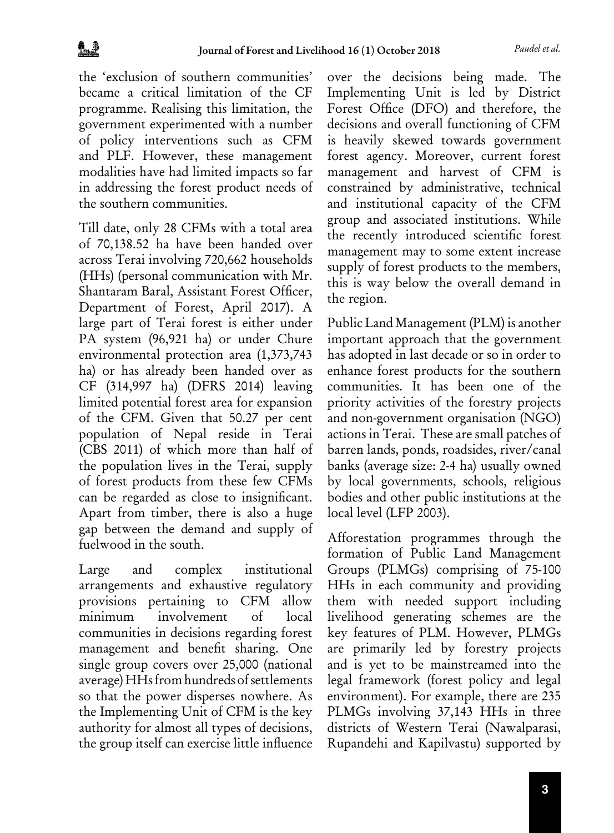the 'exclusion of southern communities' became a critical limitation of the CF programme. Realising this limitation, the government experimented with a number of policy interventions such as CFM and PLF. However, these management modalities have had limited impacts so far in addressing the forest product needs of the southern communities.

Till date, only 28 CFMs with a total area of 70,138.52 ha have been handed over across Terai involving 720,662 households (HHs) (personal communication with Mr. Shantaram Baral, Assistant Forest Officer, Department of Forest, April 2017). A large part of Terai forest is either under PA system (96,921 ha) or under Chure environmental protection area (1,373,743 ha) or has already been handed over as CF (314,997 ha) (DFRS 2014) leaving limited potential forest area for expansion of the CFM. Given that 50.27 per cent population of Nepal reside in Terai (CBS 2011) of which more than half of the population lives in the Terai, supply of forest products from these few CFMs can be regarded as close to insignificant. Apart from timber, there is also a huge gap between the demand and supply of fuelwood in the south.

Large and complex institutional arrangements and exhaustive regulatory provisions pertaining to CFM allow minimum involvement of local communities in decisions regarding forest management and benefit sharing. One single group covers over 25,000 (national average) HHs from hundreds of settlements so that the power disperses nowhere. As the Implementing Unit of CFM is the key authority for almost all types of decisions, the group itself can exercise little influence

over the decisions being made. The Implementing Unit is led by District Forest Office (DFO) and therefore, the decisions and overall functioning of CFM is heavily skewed towards government forest agency. Moreover, current forest management and harvest of CFM is constrained by administrative, technical and institutional capacity of the CFM group and associated institutions. While the recently introduced scientific forest management may to some extent increase supply of forest products to the members, this is way below the overall demand in the region.

Public Land Management (PLM) is another important approach that the government has adopted in last decade or so in order to enhance forest products for the southern communities. It has been one of the priority activities of the forestry projects and non-government organisation (NGO) actions in Terai. These are small patches of barren lands, ponds, roadsides, river/canal banks (average size: 2-4 ha) usually owned by local governments, schools, religious bodies and other public institutions at the local level (LFP 2003).

Afforestation programmes through the formation of Public Land Management Groups (PLMGs) comprising of 75-100 HHs in each community and providing them with needed support including livelihood generating schemes are the key features of PLM. However, PLMGs are primarily led by forestry projects and is yet to be mainstreamed into the legal framework (forest policy and legal environment). For example, there are 235 PLMGs involving 37,143 HHs in three districts of Western Terai (Nawalparasi, Rupandehi and Kapilvastu) supported by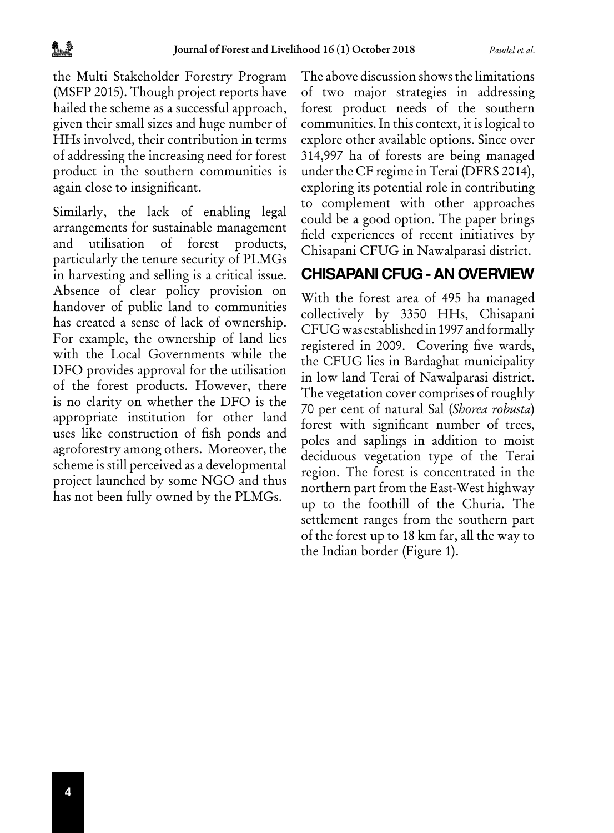the Multi Stakeholder Forestry Program (MSFP 2015). Though project reports have hailed the scheme as a successful approach, given their small sizes and huge number of HHs involved, their contribution in terms of addressing the increasing need for forest product in the southern communities is again close to insignificant.

Similarly, the lack of enabling legal arrangements for sustainable management and utilisation of forest products, particularly the tenure security of PLMGs in harvesting and selling is a critical issue. Absence of clear policy provision on handover of public land to communities has created a sense of lack of ownership. For example, the ownership of land lies with the Local Governments while the DFO provides approval for the utilisation of the forest products. However, there is no clarity on whether the DFO is the appropriate institution for other land uses like construction of fish ponds and agroforestry among others. Moreover, the scheme is still perceived as a developmental project launched by some NGO and thus has not been fully owned by the PLMGs.

The above discussion shows the limitations of two major strategies in addressing forest product needs of the southern communities. In this context, it is logical to explore other available options. Since over 314,997 ha of forests are being managed under the CF regime in Terai (DFRS 2014), exploring its potential role in contributing to complement with other approaches could be a good option. The paper brings field experiences of recent initiatives by Chisapani CFUG in Nawalparasi district.

#### **CHISAPANI CFUG - AN OVERVIEW**

With the forest area of 495 ha managed collectively by 3350 HHs, Chisapani CFUG was established in 1997 and formally registered in 2009. Covering five wards, the CFUG lies in Bardaghat municipality in low land Terai of Nawalparasi district. The vegetation cover comprises of roughly 70 per cent of natural Sal (*Shorea robusta*) forest with significant number of trees, poles and saplings in addition to moist deciduous vegetation type of the Terai region. The forest is concentrated in the northern part from the East-West highway up to the foothill of the Churia. The settlement ranges from the southern part of the forest up to 18 km far, all the way to the Indian border (Figure 1).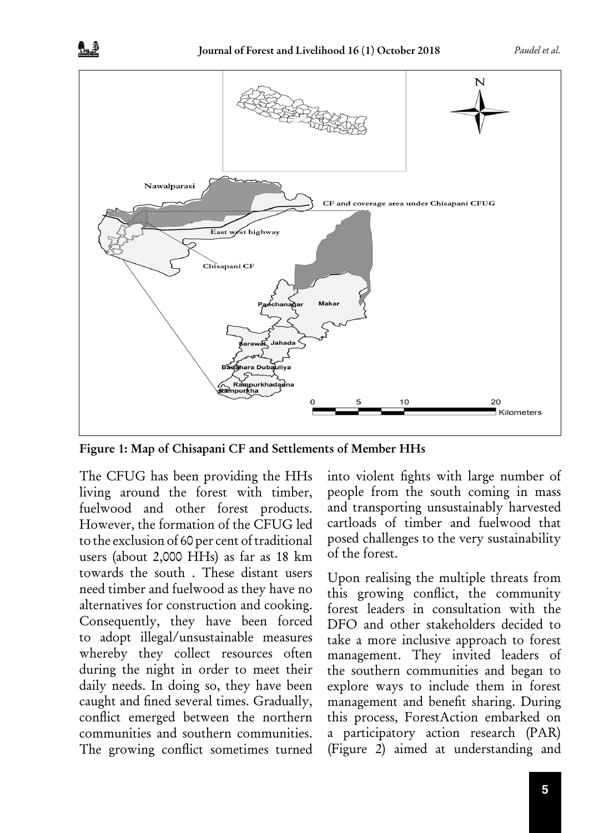

Figure 1: Map of Chisapani CF and Settlements of Member HHs

The CFUG has been providing the HHs living around the forest with timber, fuelwood and other forest products. However, the formation of the CFUG led to the exclusion of 60 per cent of traditional users (about 2,000 HHs) as far as 18 km towards the south . These distant users need timber and fuelwood as they have no alternatives for construction and cooking. Consequently, they have been forced to adopt illegal/unsustainable measures whereby they collect resources often during the night in order to meet their daily needs. In doing so, they have been caught and fined several times. Gradually, conflict emerged between the northern communities and southern communities. The growing conflict sometimes turned

into violent fights with large number of people from the south coming in mass and transporting unsustainably harvested cartloads of timber and fuelwood that posed challenges to the very sustainability of the forest.

Upon realising the multiple threats from this growing conflict, the community forest leaders in consultation with the DFO and other stakeholders decided to take a more inclusive approach to forest management. They invited leaders of the southern communities and began to explore ways to include them in forest management and benefit sharing. During this process, ForestAction embarked on a participatory action research (PAR) (Figure 2) aimed at understanding and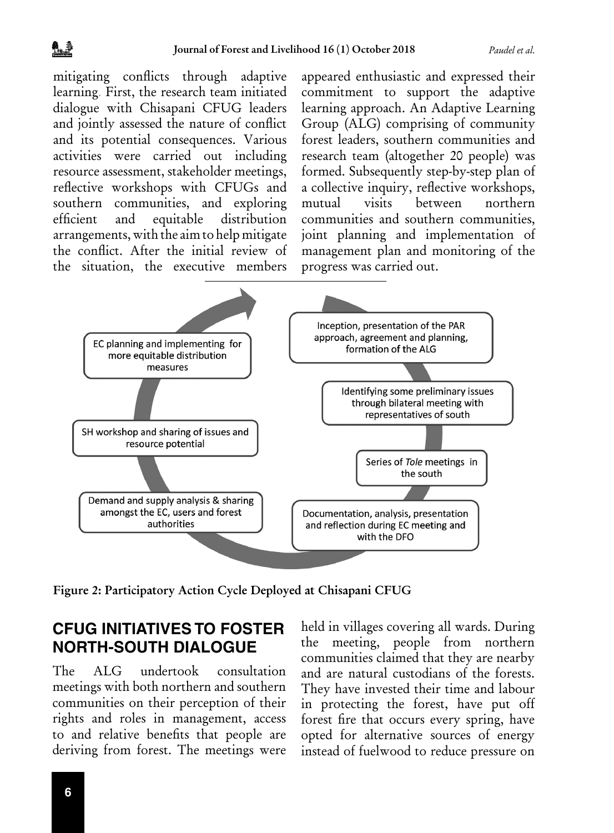mitigating conflicts through adaptive learning. First, the research team initiated dialogue with Chisapani CFUG leaders and jointly assessed the nature of conflict and its potential consequences. Various activities were carried out including resource assessment, stakeholder meetings, reflective workshops with CFUGs and southern communities, and exploring efficient and equitable distribution arrangements, with the aim to help mitigate the conflict. After the initial review of the situation, the executive members appeared enthusiastic and expressed their commitment to support the adaptive learning approach. An Adaptive Learning Group (ALG) comprising of community forest leaders, southern communities and research team (altogether 20 people) was formed. Subsequently step-by-step plan of a collective inquiry, reflective workshops, mutual visits between northern communities and southern communities, joint planning and implementation of management plan and monitoring of the progress was carried out.



Figure 2: Participatory Action Cycle Deployed at Chisapani CFUG

# **CFUG INITIATIVES TO FOSTER NORTH-SOUTH DIALOGUE**

The ALG undertook consultation meetings with both northern and southern communities on their perception of their rights and roles in management, access to and relative benefits that people are deriving from forest. The meetings were

held in villages covering all wards. During the meeting, people from northern communities claimed that they are nearby and are natural custodians of the forests. They have invested their time and labour in protecting the forest, have put off forest fire that occurs every spring, have opted for alternative sources of energy instead of fuelwood to reduce pressure on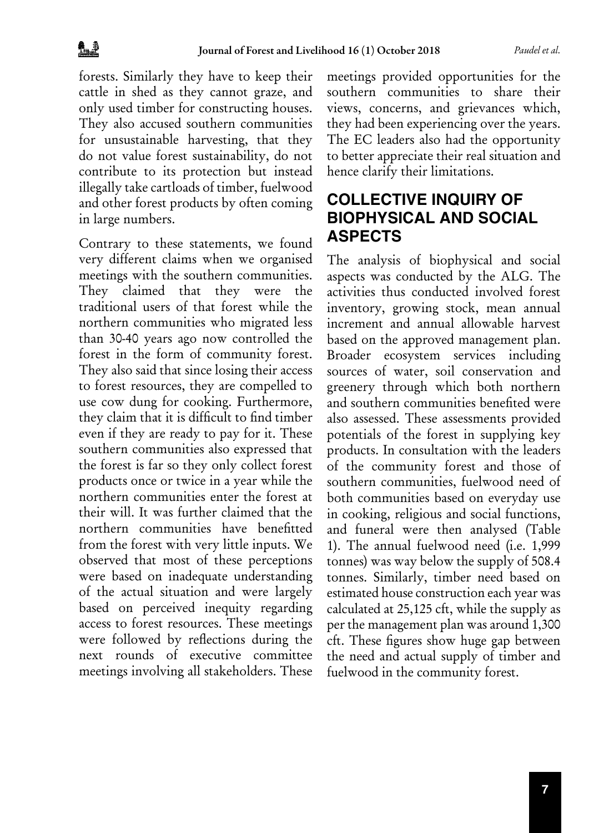forests. Similarly they have to keep their cattle in shed as they cannot graze, and only used timber for constructing houses. They also accused southern communities for unsustainable harvesting, that they do not value forest sustainability, do not contribute to its protection but instead illegally take cartloads of timber, fuelwood and other forest products by often coming in large numbers.

Contrary to these statements, we found very different claims when we organised meetings with the southern communities. They claimed that they were the traditional users of that forest while the northern communities who migrated less than 30-40 years ago now controlled the forest in the form of community forest. They also said that since losing their access to forest resources, they are compelled to use cow dung for cooking. Furthermore, they claim that it is difficult to find timber even if they are ready to pay for it. These southern communities also expressed that the forest is far so they only collect forest products once or twice in a year while the northern communities enter the forest at their will. It was further claimed that the northern communities have benefitted from the forest with very little inputs. We observed that most of these perceptions were based on inadequate understanding of the actual situation and were largely based on perceived inequity regarding access to forest resources. These meetings were followed by reflections during the next rounds of executive committee meetings involving all stakeholders. These

meetings provided opportunities for the southern communities to share their views, concerns, and grievances which, they had been experiencing over the years. The EC leaders also had the opportunity to better appreciate their real situation and hence clarify their limitations.

#### **COLLECTIVE INQUIRY OF BIOPHYSICAL AND SOCIAL ASPECTS**

The analysis of biophysical and social aspects was conducted by the ALG. The activities thus conducted involved forest inventory, growing stock, mean annual increment and annual allowable harvest based on the approved management plan. Broader ecosystem services including sources of water, soil conservation and greenery through which both northern and southern communities benefited were also assessed. These assessments provided potentials of the forest in supplying key products. In consultation with the leaders of the community forest and those of southern communities, fuelwood need of both communities based on everyday use in cooking, religious and social functions, and funeral were then analysed (Table 1). The annual fuelwood need (i.e. 1,999 tonnes) was way below the supply of 508.4 tonnes. Similarly, timber need based on estimated house construction each year was calculated at 25,125 cft, while the supply as per the management plan was around 1,300 cft. These figures show huge gap between the need and actual supply of timber and fuelwood in the community forest.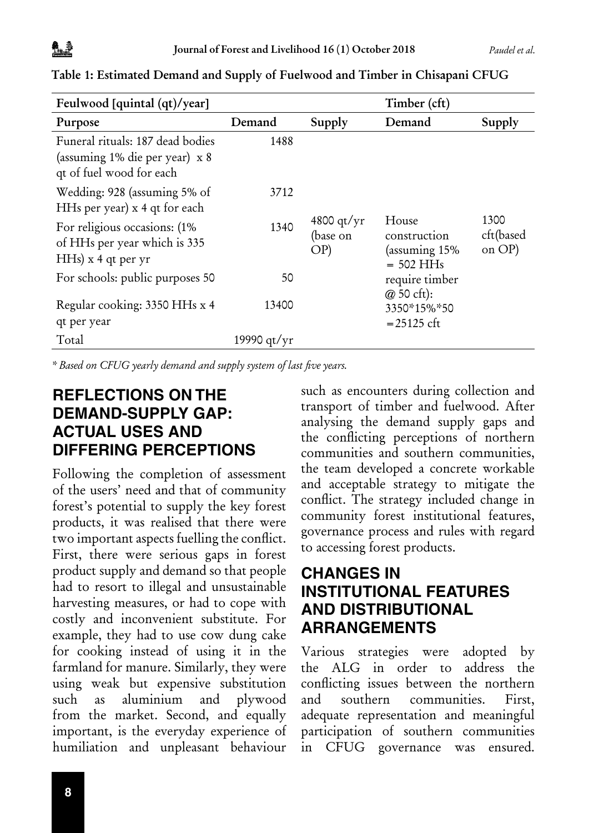| Feulwood [quintal (qt)/year]                                                                   |             |                                                       | Timber (cft)                                          |                             |
|------------------------------------------------------------------------------------------------|-------------|-------------------------------------------------------|-------------------------------------------------------|-----------------------------|
| Purpose                                                                                        | Demand      | Supply                                                | Demand                                                | Supply                      |
| Funeral rituals: 187 dead bodies<br>(assuming 1% die per year) x 8<br>qt of fuel wood for each | 1488        |                                                       |                                                       |                             |
| Wedding: 928 (assuming 5% of<br>HHs per year) x 4 qt for each                                  | 3712        |                                                       |                                                       |                             |
| For religious occasions: (1%<br>of HHs per year which is 335<br>$HHs$ ) x 4 qt per yr          | 1340        | $4800 \frac{\text{qt}}{\text{yr}}$<br>(base on<br>OP) | House<br>construction<br>(assuming 15%<br>$= 502$ HHs | 1300<br>cft(based<br>on OP) |
| For schools: public purposes 50                                                                | 50          |                                                       | require timber<br>@ 50 cft):                          |                             |
| Regular cooking: 3350 HHs x 4<br>qt per year                                                   | 13400       |                                                       | 3350*15%*50<br>$= 25125 \text{ cft}$                  |                             |
| Total                                                                                          | 19990 qt/yr |                                                       |                                                       |                             |

Table 1: Estimated Demand and Supply of Fuelwood and Timber in Chisapani CFUG

*\* Based on CFUG yearly demand and supply system of last five years.* 

#### **REFLECTIONS ON THE DEMAND-SUPPLY GAP: ACTUAL USES AND DIFFERING PERCEPTIONS**

Following the completion of assessment of the users' need and that of community forest's potential to supply the key forest products, it was realised that there were two important aspects fuelling the conflict. First, there were serious gaps in forest product supply and demand so that people had to resort to illegal and unsustainable harvesting measures, or had to cope with costly and inconvenient substitute. For example, they had to use cow dung cake for cooking instead of using it in the farmland for manure. Similarly, they were using weak but expensive substitution such as aluminium and plywood from the market. Second, and equally important, is the everyday experience of humiliation and unpleasant behaviour

such as encounters during collection and transport of timber and fuelwood. After analysing the demand supply gaps and the conflicting perceptions of northern communities and southern communities, the team developed a concrete workable and acceptable strategy to mitigate the conflict. The strategy included change in community forest institutional features, governance process and rules with regard to accessing forest products.

## **CHANGES IN INSTITUTIONAL FEATURES AND DISTRIBUTIONAL ARRANGEMENTS**

Various strategies were adopted by the ALG in order to address the conflicting issues between the northern and southern communities. First, adequate representation and meaningful participation of southern communities in CFUG governance was ensured.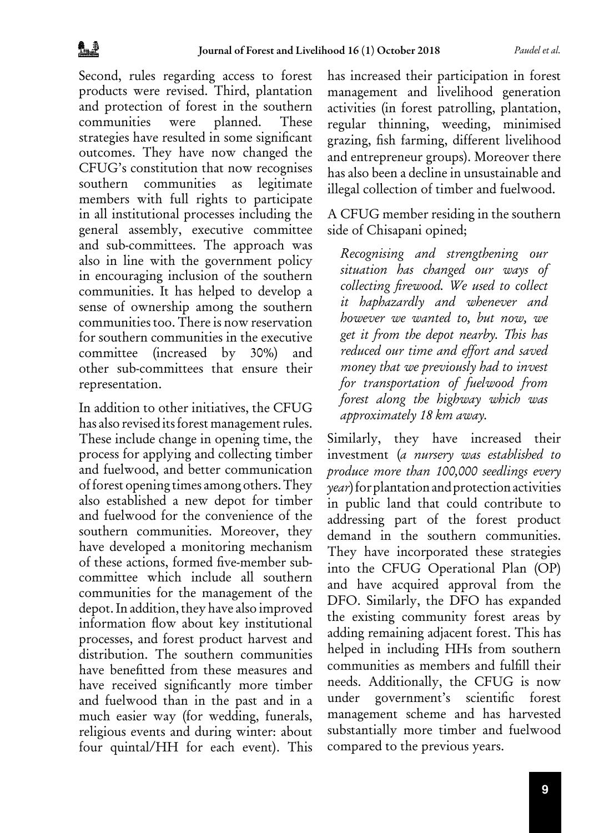Second, rules regarding access to forest products were revised. Third, plantation and protection of forest in the southern communities were planned. These strategies have resulted in some significant outcomes. They have now changed the CFUG's constitution that now recognises southern communities as legitimate members with full rights to participate in all institutional processes including the general assembly, executive committee and sub-committees. The approach was also in line with the government policy in encouraging inclusion of the southern communities. It has helped to develop a sense of ownership among the southern communities too. There is now reservation for southern communities in the executive committee (increased by 30%) and other sub-committees that ensure their representation.

In addition to other initiatives, the CFUG has also revised its forest management rules. These include change in opening time, the process for applying and collecting timber and fuelwood, and better communication of forest opening times among others. They also established a new depot for timber and fuelwood for the convenience of the southern communities. Moreover, they have developed a monitoring mechanism of these actions, formed five-member subcommittee which include all southern communities for the management of the depot. In addition, they have also improved information flow about key institutional processes, and forest product harvest and distribution. The southern communities have benefitted from these measures and have received significantly more timber and fuelwood than in the past and in a much easier way (for wedding, funerals, religious events and during winter: about four quintal/HH for each event). This

has increased their participation in forest management and livelihood generation activities (in forest patrolling, plantation, regular thinning, weeding, minimised grazing, fish farming, different livelihood and entrepreneur groups). Moreover there has also been a decline in unsustainable and illegal collection of timber and fuelwood.

A CFUG member residing in the southern side of Chisapani opined;

*Recognising and strengthening our situation has changed our ways of collecting firewood. We used to collect it haphazardly and whenever and however we wanted to, but now, we get it from the depot nearby. This has reduced our time and effort and saved money that we previously had to invest for transportation of fuelwood from forest along the highway which was approximately 18 km away.* 

Similarly, they have increased their investment (*a nursery was established to produce more than 100,000 seedlings every year*) for plantation and protection activities in public land that could contribute to addressing part of the forest product demand in the southern communities. They have incorporated these strategies into the CFUG Operational Plan (OP) and have acquired approval from the DFO. Similarly, the DFO has expanded the existing community forest areas by adding remaining adjacent forest. This has helped in including HHs from southern communities as members and fulfill their needs. Additionally, the CFUG is now under government's scientific forest management scheme and has harvested substantially more timber and fuelwood compared to the previous years.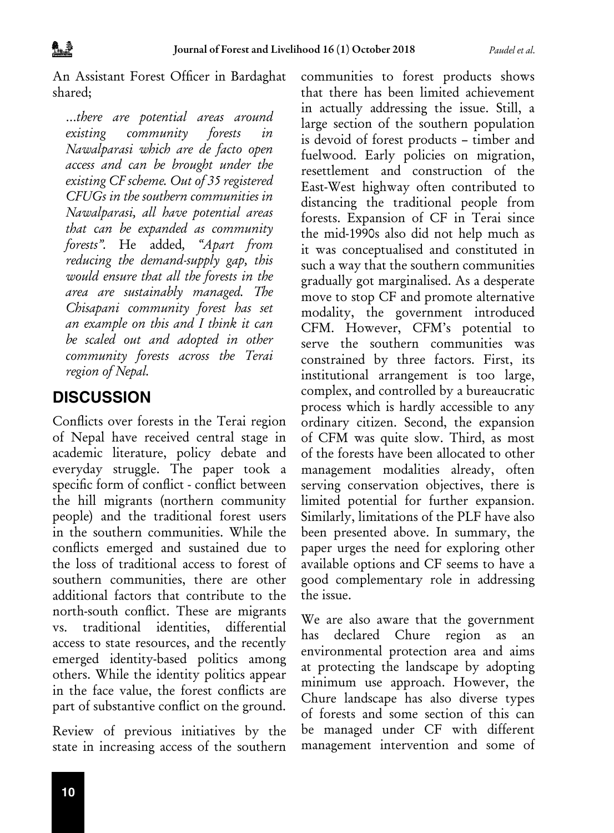An Assistant Forest Officer in Bardaghat shared;

…*there are potential areas around existing community forests in Nawalparasi which are de facto open access and can be brought under the existing CF scheme. Out of 35 registered CFUGs in the southern communities in Nawalparasi, all have potential areas that can be expanded as community forests".* He added*, "Apart from reducing the demand-supply gap, this would ensure that all the forests in the area are sustainably managed. The Chisapani community forest has set an example on this and I think it can be scaled out and adopted in other community forests across the Terai region of Nepal.*

# **DISCUSSION**

Conflicts over forests in the Terai region of Nepal have received central stage in academic literature, policy debate and everyday struggle. The paper took a specific form of conflict - conflict between the hill migrants (northern community people) and the traditional forest users in the southern communities. While the conflicts emerged and sustained due to the loss of traditional access to forest of southern communities, there are other additional factors that contribute to the north-south conflict. These are migrants vs. traditional identities, differential access to state resources, and the recently emerged identity-based politics among others. While the identity politics appear in the face value, the forest conflicts are part of substantive conflict on the ground.

Review of previous initiatives by the state in increasing access of the southern

communities to forest products shows that there has been limited achievement in actually addressing the issue. Still, a large section of the southern population is devoid of forest products – timber and fuelwood. Early policies on migration, resettlement and construction of the East-West highway often contributed to distancing the traditional people from forests. Expansion of CF in Terai since the mid-1990s also did not help much as it was conceptualised and constituted in such a way that the southern communities gradually got marginalised. As a desperate move to stop CF and promote alternative modality, the government introduced CFM. However, CFM's potential to serve the southern communities was constrained by three factors. First, its institutional arrangement is too large, complex, and controlled by a bureaucratic process which is hardly accessible to any ordinary citizen. Second, the expansion of CFM was quite slow. Third, as most of the forests have been allocated to other management modalities already, often serving conservation objectives, there is limited potential for further expansion. Similarly, limitations of the PLF have also been presented above. In summary, the paper urges the need for exploring other available options and CF seems to have a good complementary role in addressing the issue.

We are also aware that the government has declared Chure region as an environmental protection area and aims at protecting the landscape by adopting minimum use approach. However, the Chure landscape has also diverse types of forests and some section of this can be managed under CF with different management intervention and some of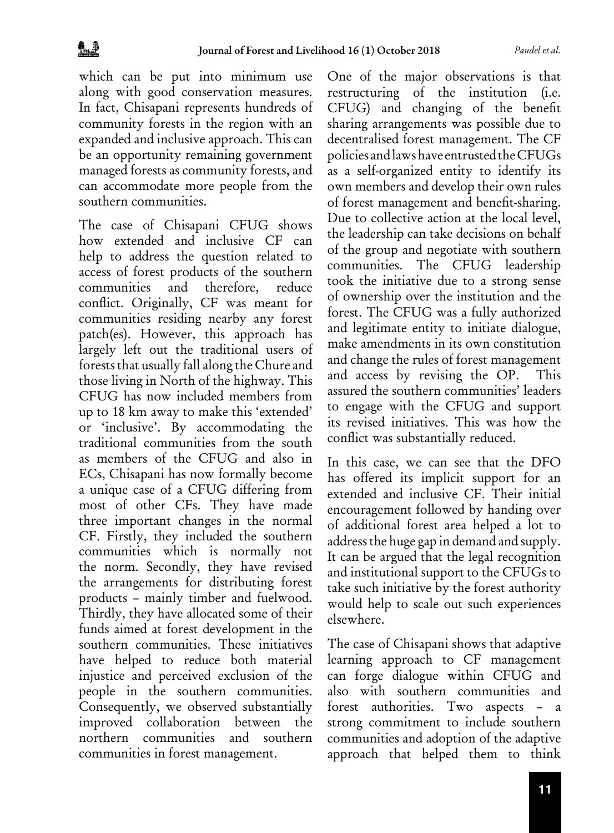which can be put into minimum use along with good conservation measures. In fact, Chisapani represents hundreds of community forests in the region with an expanded and inclusive approach. This can be an opportunity remaining government managed forests as community forests, and can accommodate more people from the southern communities.

The case of Chisapani CFUG shows how extended and inclusive CF can help to address the question related to access of forest products of the southern communities and therefore, reduce conflict. Originally, CF was meant for communities residing nearby any forest patch(es). However, this approach has largely left out the traditional users of forests that usually fall along the Chure and those living in North of the highway. This CFUG has now included members from up to 18 km away to make this 'extended' or 'inclusive'. By accommodating the traditional communities from the south as members of the CFUG and also in ECs, Chisapani has now formally become a unique case of a CFUG differing from most of other CFs. They have made three important changes in the normal CF. Firstly, they included the southern communities which is normally not the norm. Secondly, they have revised the arrangements for distributing forest products – mainly timber and fuelwood. Thirdly, they have allocated some of their funds aimed at forest development in the southern communities. These initiatives have helped to reduce both material injustice and perceived exclusion of the people in the southern communities. Consequently, we observed substantially improved collaboration between the northern communities and southern communities in forest management.

One of the major observations is that restructuring of the institution (i.e. CFUG) and changing of the benefit sharing arrangements was possible due to decentralised forest management. The CF policies and laws have entrusted the CFUGs as a self-organized entity to identify its own members and develop their own rules of forest management and benefit-sharing. Due to collective action at the local level, the leadership can take decisions on behalf of the group and negotiate with southern communities. The CFUG leadership took the initiative due to a strong sense of ownership over the institution and the forest. The CFUG was a fully authorized and legitimate entity to initiate dialogue, make amendments in its own constitution and change the rules of forest management and access by revising the OP. This assured the southern communities' leaders to engage with the CFUG and support its revised initiatives. This was how the conflict was substantially reduced.

In this case, we can see that the DFO has offered its implicit support for an extended and inclusive CF. Their initial encouragement followed by handing over of additional forest area helped a lot to address the huge gap in demand and supply. It can be argued that the legal recognition and institutional support to the CFUGs to take such initiative by the forest authority would help to scale out such experiences elsewhere.

The case of Chisapani shows that adaptive learning approach to CF management can forge dialogue within CFUG and also with southern communities and forest authorities. Two aspects – a strong commitment to include southern communities and adoption of the adaptive approach that helped them to think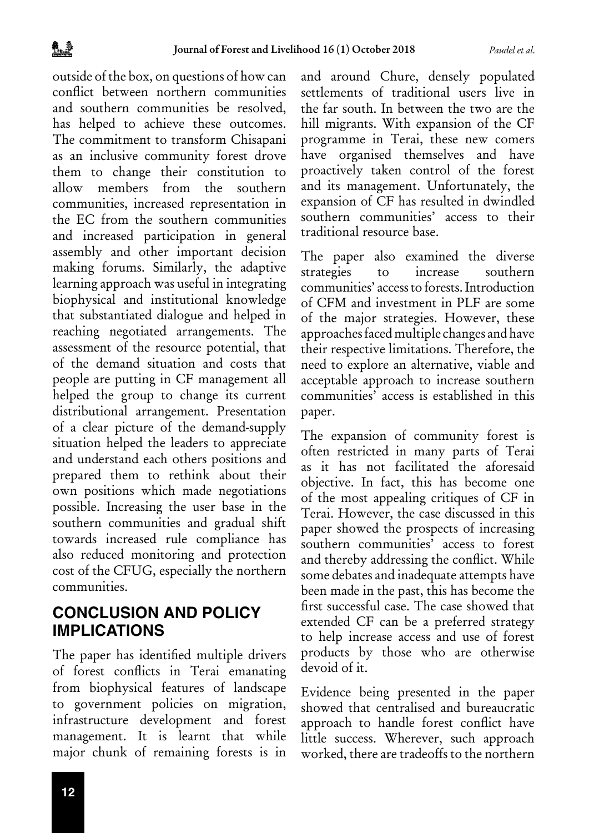outside of the box, on questions of how can conflict between northern communities and southern communities be resolved, has helped to achieve these outcomes. The commitment to transform Chisapani as an inclusive community forest drove them to change their constitution to allow members from the southern communities, increased representation in the EC from the southern communities and increased participation in general assembly and other important decision making forums. Similarly, the adaptive learning approach was useful in integrating biophysical and institutional knowledge that substantiated dialogue and helped in reaching negotiated arrangements. The assessment of the resource potential, that of the demand situation and costs that people are putting in CF management all helped the group to change its current distributional arrangement. Presentation of a clear picture of the demand-supply situation helped the leaders to appreciate and understand each others positions and prepared them to rethink about their own positions which made negotiations possible. Increasing the user base in the southern communities and gradual shift towards increased rule compliance has also reduced monitoring and protection cost of the CFUG, especially the northern communities.

#### **CONCLUSION AND POLICY IMPLICATIONS**

The paper has identified multiple drivers of forest conflicts in Terai emanating from biophysical features of landscape to government policies on migration, infrastructure development and forest management. It is learnt that while major chunk of remaining forests is in

and around Chure, densely populated settlements of traditional users live in the far south. In between the two are the hill migrants. With expansion of the CF programme in Terai, these new comers have organised themselves and have proactively taken control of the forest and its management. Unfortunately, the expansion of CF has resulted in dwindled southern communities' access to their traditional resource base.

The paper also examined the diverse strategies to increase southern communities' access to forests. Introduction of CFM and investment in PLF are some of the major strategies. However, these approaches faced multiple changes and have their respective limitations. Therefore, the need to explore an alternative, viable and acceptable approach to increase southern communities' access is established in this paper.

The expansion of community forest is often restricted in many parts of Terai as it has not facilitated the aforesaid objective. In fact, this has become one of the most appealing critiques of CF in Terai. However, the case discussed in this paper showed the prospects of increasing southern communities' access to forest and thereby addressing the conflict. While some debates and inadequate attempts have been made in the past, this has become the first successful case. The case showed that extended CF can be a preferred strategy to help increase access and use of forest products by those who are otherwise devoid of it.

Evidence being presented in the paper showed that centralised and bureaucratic approach to handle forest conflict have little success. Wherever, such approach worked, there are tradeoffs to the northern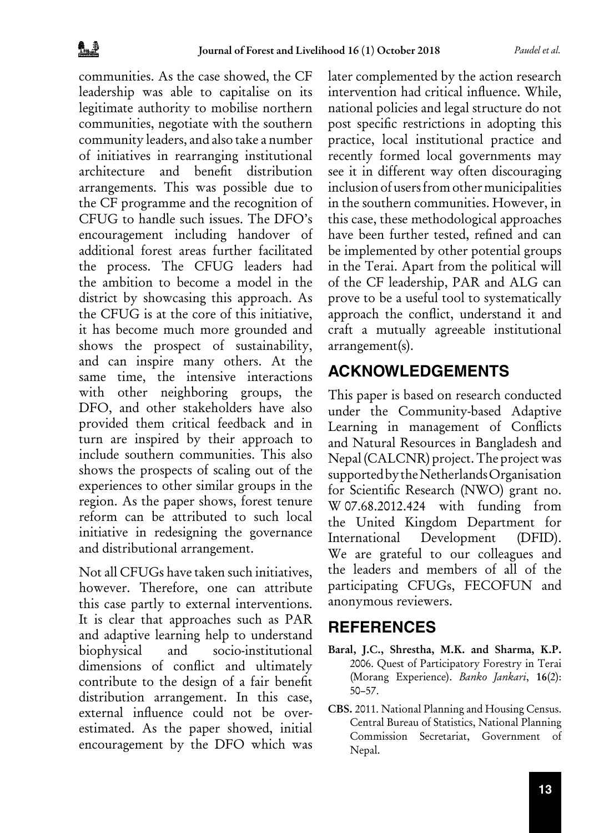communities. As the case showed, the CF leadership was able to capitalise on its legitimate authority to mobilise northern communities, negotiate with the southern community leaders, and also take a number of initiatives in rearranging institutional architecture and benefit distribution arrangements. This was possible due to the CF programme and the recognition of CFUG to handle such issues. The DFO's encouragement including handover of additional forest areas further facilitated the process. The CFUG leaders had the ambition to become a model in the district by showcasing this approach. As the CFUG is at the core of this initiative, it has become much more grounded and shows the prospect of sustainability, and can inspire many others. At the same time, the intensive interactions with other neighboring groups, the DFO, and other stakeholders have also provided them critical feedback and in turn are inspired by their approach to include southern communities. This also shows the prospects of scaling out of the experiences to other similar groups in the region. As the paper shows, forest tenure reform can be attributed to such local initiative in redesigning the governance and distributional arrangement.

Not all CFUGs have taken such initiatives, however. Therefore, one can attribute this case partly to external interventions. It is clear that approaches such as PAR and adaptive learning help to understand biophysical and socio-institutional dimensions of conflict and ultimately contribute to the design of a fair benefit distribution arrangement. In this case, external influence could not be overestimated. As the paper showed, initial encouragement by the DFO which was

later complemented by the action research intervention had critical influence. While, national policies and legal structure do not post specific restrictions in adopting this practice, local institutional practice and recently formed local governments may see it in different way often discouraging inclusion of users from other municipalities in the southern communities. However, in this case, these methodological approaches have been further tested, refined and can be implemented by other potential groups in the Terai. Apart from the political will of the CF leadership, PAR and ALG can prove to be a useful tool to systematically approach the conflict, understand it and craft a mutually agreeable institutional arrangement(s).

# **ACKNOWLEDGEMENTS**

This paper is based on research conducted under the Community-based Adaptive Learning in management of Conflicts and Natural Resources in Bangladesh and Nepal (CALCNR) project. The project was supported by the Netherlands Organisation for Scientific Research (NWO) grant no. W 07.68.2012.424 with funding from the United Kingdom Department for International Development (DFID). We are grateful to our colleagues and the leaders and members of all of the participating CFUGs, FECOFUN and anonymous reviewers.

# **REFERENCES**

- Baral, J.C., Shrestha, M.K. and Sharma, K.P. 2006. Quest of Participatory Forestry in Terai (Morang Experience). *Banko Jankari*, 16(2): 50–57.
- CBS. 2011. National Planning and Housing Census. Central Bureau of Statistics, National Planning Commission Secretariat, Government of Nepal.